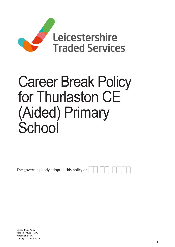

# Career Break Policy for Thurlaston CE (Aided) Primary **School**

The governing body adopted this policy on: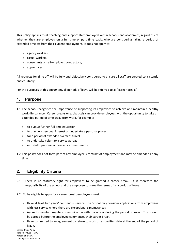This policy applies to all teaching and support staff employed within schools and academies, regardless of whether they are employed on a full time or part time basis, who are considering taking a period of extended time off from their current employment. It does not apply to:

- agency workers;
- casual workers;
- consultants or self-employed contractors;
- apprentices.

All requests for time off will be fully and objectively considered to ensure all staff are treated consistently and equitably.

For the purposes of this document, all periods of leave will be referred to as "career breaks".

## 1. Purpose

- 1.1 The school recognises the importance of supporting its employees to achieve and maintain a healthy work-life balance. Career breaks or sabbaticals can provide employees with the opportunity to take an extended period of time away from work, for example:
	- to pursue further full time education
	- to pursue a personal interest or undertake a personal project
	- **for a period of extended overseas travel**
	- to undertake voluntary service abroad
	- or to fulfil personal or domestic commitments.
- 1.2 This policy does not form part of any employee's contract of employment and may be amended at any time.

## 2. Eligibility Criteria

- 2.1 There is no statutory right for employees to be granted a career break. It is therefore the responsibility of the school and the employee to agree the terms of any period of leave.
- 2.2 To be eligible to apply for a career break, employees must:
	- Have at least two years' continuous service. The School may consider applications from employees with less service where there are exceptional circumstances.
	- Agree to maintain regular communication with the school during the period of leave. This should be agreed before the employee commences their career break.
	- Have committed to an agreement to return to work on a specified date at the end of the period of leave.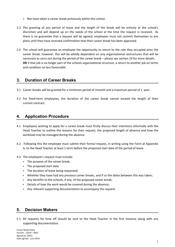- Not have taken a career break previously within this school.
- 2.3 The granting of any period of leave and the length of the break will be entirely at the school's discretion and will depend up on the needs of the school at the time the request is received. As there is no guarantee that a request will be agreed, employees must not commit themselves to any plans until they have received confirmation that their career break has been approved.
- 2.4 The school will guarantee an employee the opportunity to return to the role they occupied prior the career break, however, this will be wholly dependent on any organisational restructures that will be necessary to carry out during the period of the career break – please see section 10 for more details. OR if that job is no longer part of the schools organisational structure, a return to another job on terms and condition no less favourable.

# 3. Duration of Career Breaks

- 3.1 Career breaks will be granted for a minimum period of 1month and a maximum period of 1 year.
- 3.2 For fixed-term employees, the duration of the career break cannot exceed the length of their current contract.

# 4. Application Procedure

- 4.1 Employees wishing to apply for a career break must firstly discuss their intentions informally with the Head Teacher to outline the reasons for their request, the proposed length of absence and how the workload may be managed during the absence.
- 4.2 Following this the employee must submit their formal request, in writing using the Form at Appendix A, to the Head Teacher at least 1 term before the proposed start date of the period of leave.
- 4.3 The employee's request must include:
	- The purpose of the career break;
	- The proposed start date
	- The duration of leave being requested;
	- Whether they have had any previous career breaks, and if so the dates between this was taken;
	- Any benefits to the schools, if any, of the proposed career break;
	- Details of how the work would be covered during the absence;
	- Any relevant supporting documentation to accompany the request.

# 5. Decision Makers

5.1 All requests for time off should be sent to the Head Teacher in the first instance along with any supporting documentation.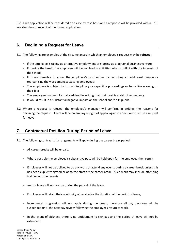5.2 Each application will be considered on a case by case basis and a response will be provided within 10 working days of receipt of the formal application.

## 6. Declining a Request for Leave

6.1 The following are examples of the circumstances in which an employee's request may be refused:

- If the employee is taking up alternative employment or starting up a personal business venture;
- If, during the break, the employee will be involved in activities which conflict with the interests of the school;
- It is not possible to cover the employee's post either by recruiting an additional person or reorganising the work amongst existing employees;
- The employee is subject to formal disciplinary or capability proceedings or has a live warning on their file;
- The employee has been formally advised in writing that their post is at risk of redundancy;
- It would result in a substantial negative impact on the school and/or its pupils.
- 6.2 Where a request is refused, the employee's manager will confirm, in writing, the reasons for declining the request. There will be no employee right of appeal against a decision to refuse a request for leave.

## 7. Contractual Position During Period of Leave

- 7.1 The following contractual arrangements will apply during the career break period:
	- All career breaks will be unpaid.
	- Where possible the employee's substantive post will be held open for the employee their return;
	- Employees will not be obliged to do any work or attend any events during a career break unless this has been explicitly agreed prior to the start of the career break. Such work may include attending training or other events.
	- Annual leave will not accrue during the period of the leave.
	- Employees will retain their continuity of service for the duration of the period of leave;
	- Incremental progression will not apply during the break, therefore all pay decisions will be suspended until the next pay review following the employees return to work.
	- In the event of sickness, there is no entitlement to sick pay and the period of leave will not be extended;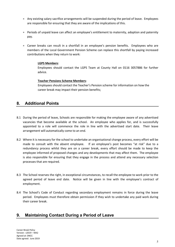- Any existing salary sacrifice arrangements will be suspended during the period of leave. Employees are responsible for ensuring that they are aware of the implications of this.
- Periods of unpaid leave can affect an employee's entitlement to maternity, adoption and paternity pay.
- Career breaks can result in a shortfall in an employee's pension benefits. Employees who are members of the Local Government Pension Scheme can replace this shortfall by paying increased contributions when they return to work:

#### LGPS Members:

Employees should contact the LGPS Team at County Hall on 0116 3057886 for further advice.

#### Teacher Pensions Scheme Members:

 Employees should contact the Teacher's Pension scheme for information on how the career break may impact their pension benefits;

### 8. Additional Points

- 8.1 During the period of leave, Schools are responsible for making the employee aware of any advertised vacancies that become available at the school. An employee who applies for, and is successfully appointed to a role will commence the role in line with the advertised start date. Their leave arrangement will automatically come to an end.
- 8.2 Where it is necessary for the school to undertake an organisational change process, every effort will be made to consult with the absent employee. If an employee's post becomes "at risk" due to a redundancy process whilst they are on a career break, every effort should be made to keep the employee informed of proposed changes and any developments that may affect them. The employee is also responsible for ensuring that they engage in the process and attend any necessary selection processes that are required.
- 8.3 The School reserves the right, in exceptional circumstances, to recall the employee to work prior to the agreed period of leave end date. Notice will be given in line with the employee's contract of employment.
- 8.4 The School's Code of Conduct regarding secondary employment remains in force during the leave period. Employees must therefore obtain permission if they wish to undertake any paid work during their career break.

## 9. Maintaining Contact During a Period of Leave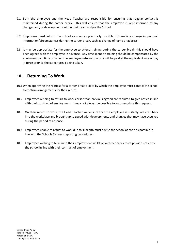- 9.1 Both the employee and the Head Teacher are responsible for ensuring that regular contact is maintained during the career break. This will ensure that the employee is kept informed of any changes and/or developments within their team and/or the School.
- 9.2 Employees must inform the school as soon as practically possible if there is a change in personal information/circumstances during the career break, such as change of name or address.
- 9.3 It may be appropriate for the employee to attend training during the career break, this should have been agreed with the employee in advance. Any time spent on training should be compensated by the equivalent paid time off when the employee returns to work/ will be paid at the equivalent rate of pay in force prior to the career break being taken.

# 10 . Returning To Work

- 10.1 When approving the request for a career break a date by which the employee must contact the school to confirm arrangements for their return.
- 10.2 Employees wishing to return to work earlier than previous agreed are required to give notice in line with their contract of employment; it may not always be possible to accommodate this request.
- 10.3 On their return to work, the Head Teacher will ensure that the employee is suitably inducted back into the workplace and brought up to speed with developments and changes that may have occurred during the period of absence.
- 10.4 Employees unable to return to work due to ill health must advise the school as soon as possible in line with the Schools Sickness reporting procedures.
- 10.5 Employees wishing to terminate their employment whilst on a career break must provide notice to the school in line with their contract of employment.